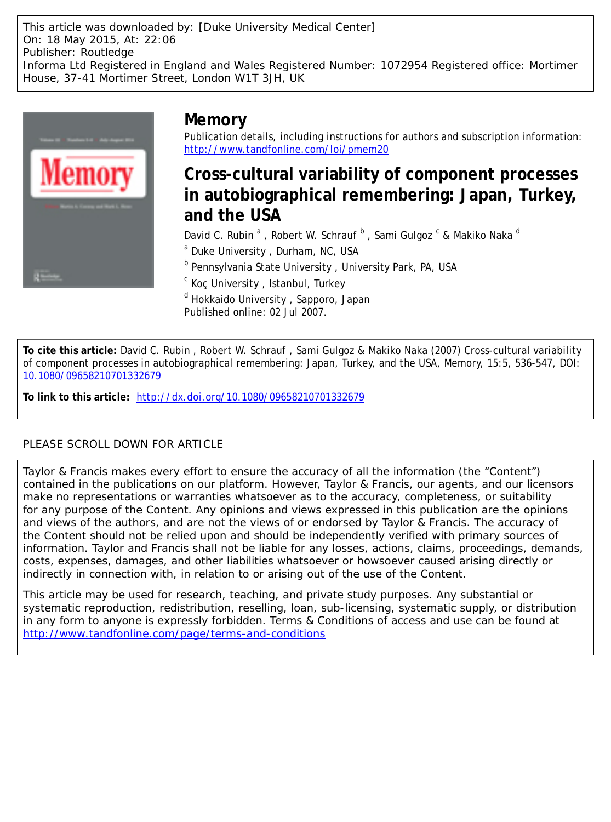This article was downloaded by: [Duke University Medical Center] On: 18 May 2015, At: 22:06 Publisher: Routledge Informa Ltd Registered in England and Wales Registered Number: 1072954 Registered office: Mortimer House, 37-41 Mortimer Street, London W1T 3JH, UK



### **Memory**

Publication details, including instructions for authors and subscription information: <http://www.tandfonline.com/loi/pmem20>

# **Cross-cultural variability of component processes in autobiographical remembering: Japan, Turkey, and the USA**

David C. Rubin  $^{\mathsf{a}}$  , Robert W. Schrauf  $^{\mathsf{b}}$  , Sami Gulgoz  $^{\mathsf{c}}$  & Makiko Naka  $^{\mathsf{d}}$ 

<sup>a</sup> Duke University, Durham, NC, USA

- <sup>b</sup> Pennsylvania State University, University Park, PA, USA
- <sup>c</sup> Koç University, Istanbul, Turkey

<sup>d</sup> Hokkaido University, Sapporo, Japan Published online: 02 Jul 2007.

**To cite this article:** David C. Rubin , Robert W. Schrauf , Sami Gulgoz & Makiko Naka (2007) Cross-cultural variability of component processes in autobiographical remembering: Japan, Turkey, and the USA, Memory, 15:5, 536-547, DOI: [10.1080/09658210701332679](http://www.tandfonline.com/action/showCitFormats?doi=10.1080/09658210701332679)

**To link to this article:** <http://dx.doi.org/10.1080/09658210701332679>

### PLEASE SCROLL DOWN FOR ARTICLE

Taylor & Francis makes every effort to ensure the accuracy of all the information (the "Content") contained in the publications on our platform. However, Taylor & Francis, our agents, and our licensors make no representations or warranties whatsoever as to the accuracy, completeness, or suitability for any purpose of the Content. Any opinions and views expressed in this publication are the opinions and views of the authors, and are not the views of or endorsed by Taylor & Francis. The accuracy of the Content should not be relied upon and should be independently verified with primary sources of information. Taylor and Francis shall not be liable for any losses, actions, claims, proceedings, demands, costs, expenses, damages, and other liabilities whatsoever or howsoever caused arising directly or indirectly in connection with, in relation to or arising out of the use of the Content.

This article may be used for research, teaching, and private study purposes. Any substantial or systematic reproduction, redistribution, reselling, loan, sub-licensing, systematic supply, or distribution in any form to anyone is expressly forbidden. Terms & Conditions of access and use can be found at <http://www.tandfonline.com/page/terms-and-conditions>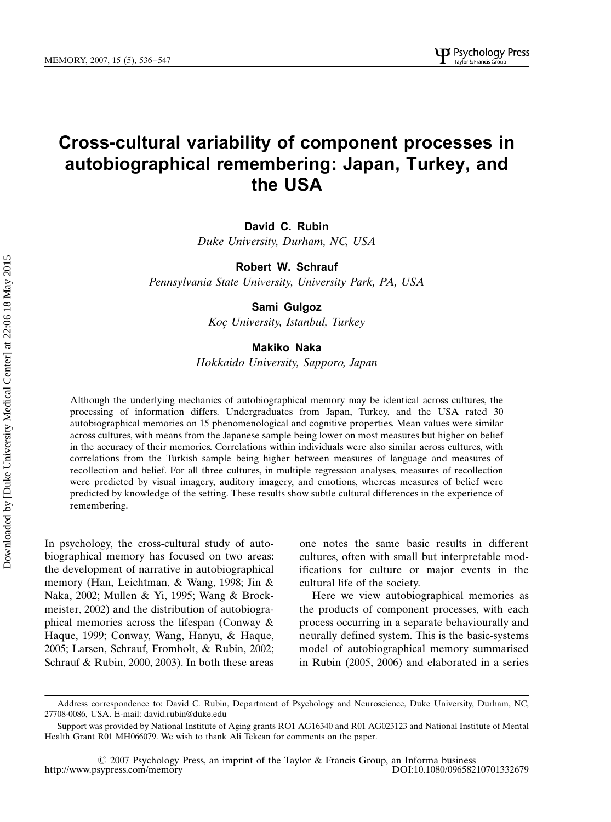# Cross-cultural variability of component processes in autobiographical remembering: Japan, Turkey, and the USA

David C. Rubin

Duke University, Durham, NC, USA

Robert W. Schrauf Pennsylvania State University, University Park, PA, USA

#### Sami Gulgoz

Koc¸ University, Istanbul, Turkey

#### Makiko Naka

Hokkaido University, Sapporo, Japan

Although the underlying mechanics of autobiographical memory may be identical across cultures, the processing of information differs. Undergraduates from Japan, Turkey, and the USA rated 30 autobiographical memories on 15 phenomenological and cognitive properties. Mean values were similar across cultures, with means from the Japanese sample being lower on most measures but higher on belief in the accuracy of their memories. Correlations within individuals were also similar across cultures, with correlations from the Turkish sample being higher between measures of language and measures of recollection and belief. For all three cultures, in multiple regression analyses, measures of recollection were predicted by visual imagery, auditory imagery, and emotions, whereas measures of belief were predicted by knowledge of the setting. These results show subtle cultural differences in the experience of remembering.

In psychology, the cross-cultural study of autobiographical memory has focused on two areas: the development of narrative in autobiographical memory (Han, Leichtman, & Wang, 1998; Jin & Naka, 2002; Mullen & Yi, 1995; Wang & Brockmeister, 2002) and the distribution of autobiographical memories across the lifespan (Conway & Haque, 1999; Conway, Wang, Hanyu, & Haque, 2005; Larsen, Schrauf, Fromholt, & Rubin, 2002; Schrauf & Rubin, 2000, 2003). In both these areas one notes the same basic results in different cultures, often with small but interpretable modifications for culture or major events in the cultural life of the society.

Here we view autobiographical memories as the products of component processes, with each process occurring in a separate behaviourally and neurally defined system. This is the basic-systems model of autobiographical memory summarised in Rubin (2005, 2006) and elaborated in a series

Address correspondence to: David C. Rubin, Department of Psychology and Neuroscience, Duke University, Durham, NC, 27708-0086, USA. E-mail: david.rubin@duke.edu

Support was provided by National Institute of Aging grants RO1 AG16340 and R01 AG023123 and National Institute of Mental Health Grant R01 MH066079. We wish to thank Ali Tekcan for comments on the paper.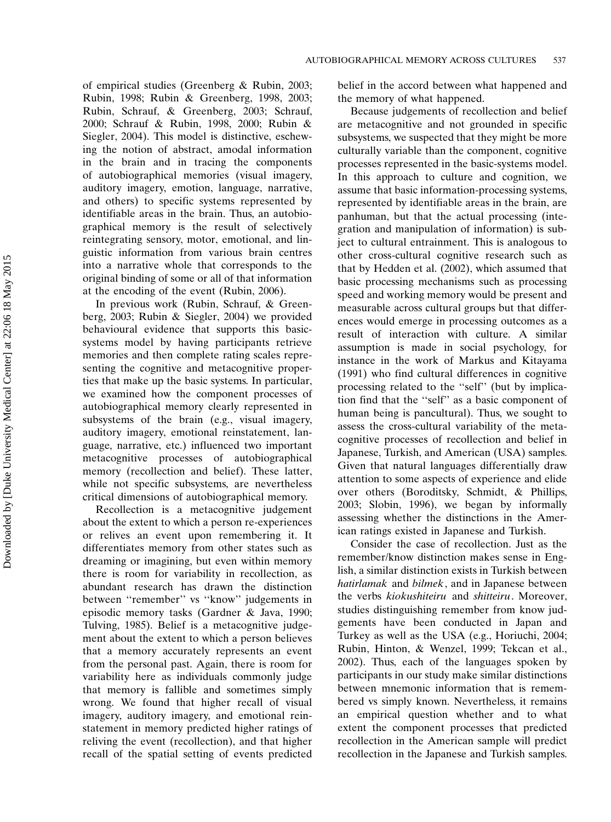of empirical studies (Greenberg & Rubin, 2003; Rubin, 1998; Rubin & Greenberg, 1998, 2003; Rubin, Schrauf, & Greenberg, 2003; Schrauf, 2000; Schrauf & Rubin, 1998, 2000; Rubin & Siegler, 2004). This model is distinctive, eschewing the notion of abstract, amodal information in the brain and in tracing the components of autobiographical memories (visual imagery, auditory imagery, emotion, language, narrative, and others) to specific systems represented by identifiable areas in the brain. Thus, an autobiographical memory is the result of selectively reintegrating sensory, motor, emotional, and linguistic information from various brain centres into a narrative whole that corresponds to the original binding of some or all of that information at the encoding of the event (Rubin, 2006).

In previous work (Rubin, Schrauf, & Greenberg, 2003; Rubin & Siegler, 2004) we provided behavioural evidence that supports this basicsystems model by having participants retrieve memories and then complete rating scales representing the cognitive and metacognitive properties that make up the basic systems. In particular, we examined how the component processes of autobiographical memory clearly represented in subsystems of the brain (e.g., visual imagery, auditory imagery, emotional reinstatement, language, narrative, etc.) influenced two important metacognitive processes of autobiographical memory (recollection and belief). These latter, while not specific subsystems, are nevertheless critical dimensions of autobiographical memory.

Recollection is a metacognitive judgement about the extent to which a person re-experiences or relives an event upon remembering it. It differentiates memory from other states such as dreaming or imagining, but even within memory there is room for variability in recollection, as abundant research has drawn the distinction between ''remember'' vs ''know'' judgements in episodic memory tasks (Gardner & Java, 1990; Tulving, 1985). Belief is a metacognitive judgement about the extent to which a person believes that a memory accurately represents an event from the personal past. Again, there is room for variability here as individuals commonly judge that memory is fallible and sometimes simply wrong. We found that higher recall of visual imagery, auditory imagery, and emotional reinstatement in memory predicted higher ratings of reliving the event (recollection), and that higher recall of the spatial setting of events predicted

belief in the accord between what happened and the memory of what happened.

Because judgements of recollection and belief are metacognitive and not grounded in specific subsystems, we suspected that they might be more culturally variable than the component, cognitive processes represented in the basic-systems model. In this approach to culture and cognition, we assume that basic information-processing systems, represented by identifiable areas in the brain, are panhuman, but that the actual processing (integration and manipulation of information) is subject to cultural entrainment. This is analogous to other cross-cultural cognitive research such as that by Hedden et al. (2002), which assumed that basic processing mechanisms such as processing speed and working memory would be present and measurable across cultural groups but that differences would emerge in processing outcomes as a result of interaction with culture. A similar assumption is made in social psychology, for instance in the work of Markus and Kitayama (1991) who find cultural differences in cognitive processing related to the ''self'' (but by implication find that the ''self'' as a basic component of human being is pancultural). Thus, we sought to assess the cross-cultural variability of the metacognitive processes of recollection and belief in Japanese, Turkish, and American (USA) samples. Given that natural languages differentially draw attention to some aspects of experience and elide over others (Boroditsky, Schmidt, & Phillips, 2003; Slobin, 1996), we began by informally assessing whether the distinctions in the American ratings existed in Japanese and Turkish.

Consider the case of recollection. Just as the remember/know distinction makes sense in English, a similar distinction exists in Turkish between hatirlamak and bilmek, and in Japanese between the verbs kiokushiteiru and shitteiru. Moreover, studies distinguishing remember from know judgements have been conducted in Japan and Turkey as well as the USA (e.g., Horiuchi, 2004; Rubin, Hinton, & Wenzel, 1999; Tekcan et al., 2002). Thus, each of the languages spoken by participants in our study make similar distinctions between mnemonic information that is remembered vs simply known. Nevertheless, it remains an empirical question whether and to what extent the component processes that predicted recollection in the American sample will predict recollection in the Japanese and Turkish samples.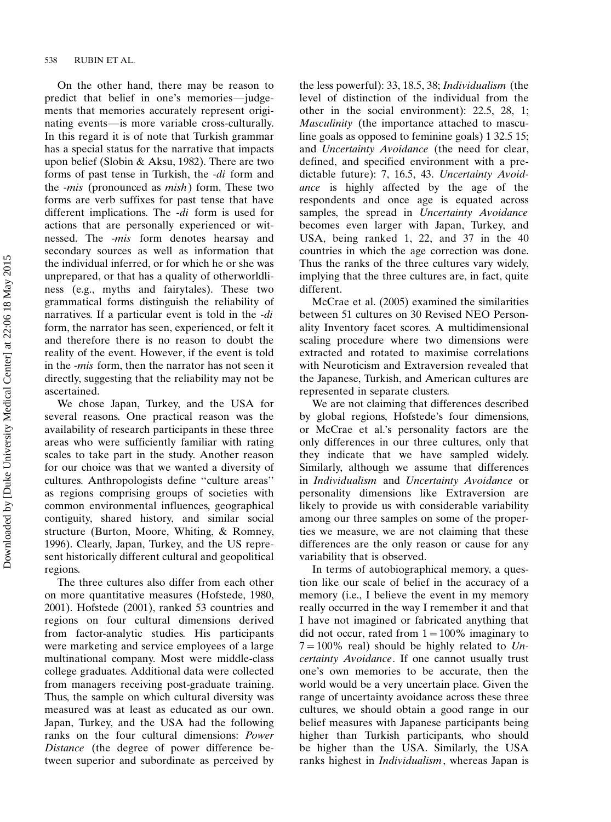On the other hand, there may be reason to predict that belief in one's memories—judgements that memories accurately represent originating events-is more variable cross-culturally. In this regard it is of note that Turkish grammar has a special status for the narrative that impacts upon belief (Slobin & Aksu, 1982). There are two forms of past tense in Turkish, the -di form and the -mis (pronounced as mish) form. These two forms are verb suffixes for past tense that have different implications. The -di form is used for actions that are personally experienced or witnessed. The -mis form denotes hearsay and secondary sources as well as information that the individual inferred, or for which he or she was unprepared, or that has a quality of otherworldliness (e.g., myths and fairytales). These two grammatical forms distinguish the reliability of narratives. If a particular event is told in the -di form, the narrator has seen, experienced, or felt it and therefore there is no reason to doubt the reality of the event. However, if the event is told in the -mis form, then the narrator has not seen it directly, suggesting that the reliability may not be ascertained.

We chose Japan, Turkey, and the USA for several reasons. One practical reason was the availability of research participants in these three areas who were sufficiently familiar with rating scales to take part in the study. Another reason for our choice was that we wanted a diversity of cultures. Anthropologists define ''culture areas'' as regions comprising groups of societies with common environmental influences, geographical contiguity, shared history, and similar social structure (Burton, Moore, Whiting, & Romney, 1996). Clearly, Japan, Turkey, and the US represent historically different cultural and geopolitical regions.

The three cultures also differ from each other on more quantitative measures (Hofstede, 1980, 2001). Hofstede (2001), ranked 53 countries and regions on four cultural dimensions derived from factor-analytic studies. His participants were marketing and service employees of a large multinational company. Most were middle-class college graduates. Additional data were collected from managers receiving post-graduate training. Thus, the sample on which cultural diversity was measured was at least as educated as our own. Japan, Turkey, and the USA had the following ranks on the four cultural dimensions: Power Distance (the degree of power difference between superior and subordinate as perceived by the less powerful): 33, 18.5, 38; Individualism (the level of distinction of the individual from the other in the social environment): 22.5, 28, 1; Masculinity (the importance attached to masculine goals as opposed to feminine goals) 1 32.5 15; and Uncertainty Avoidance (the need for clear, defined, and specified environment with a predictable future): 7, 16.5, 43. Uncertainty Avoidance is highly affected by the age of the respondents and once age is equated across samples, the spread in Uncertainty Avoidance becomes even larger with Japan, Turkey, and USA, being ranked 1, 22, and 37 in the 40 countries in which the age correction was done. Thus the ranks of the three cultures vary widely, implying that the three cultures are, in fact, quite different.

McCrae et al. (2005) examined the similarities between 51 cultures on 30 Revised NEO Personality Inventory facet scores. A multidimensional scaling procedure where two dimensions were extracted and rotated to maximise correlations with Neuroticism and Extraversion revealed that the Japanese, Turkish, and American cultures are represented in separate clusters.

We are not claiming that differences described by global regions, Hofstede's four dimensions, or McCrae et al.'s personality factors are the only differences in our three cultures, only that they indicate that we have sampled widely. Similarly, although we assume that differences in Individualism and Uncertainty Avoidance or personality dimensions like Extraversion are likely to provide us with considerable variability among our three samples on some of the properties we measure, we are not claiming that these differences are the only reason or cause for any variability that is observed.

In terms of autobiographical memory, a question like our scale of belief in the accuracy of a memory (i.e., I believe the event in my memory really occurred in the way I remember it and that I have not imagined or fabricated anything that did not occur, rated from  $1 = 100\%$  imaginary to  $7=100\%$  real) should be highly related to Uncertainty Avoidance. If one cannot usually trust one's own memories to be accurate, then the world would be a very uncertain place. Given the range of uncertainty avoidance across these three cultures, we should obtain a good range in our belief measures with Japanese participants being higher than Turkish participants, who should be higher than the USA. Similarly, the USA ranks highest in Individualism, whereas Japan is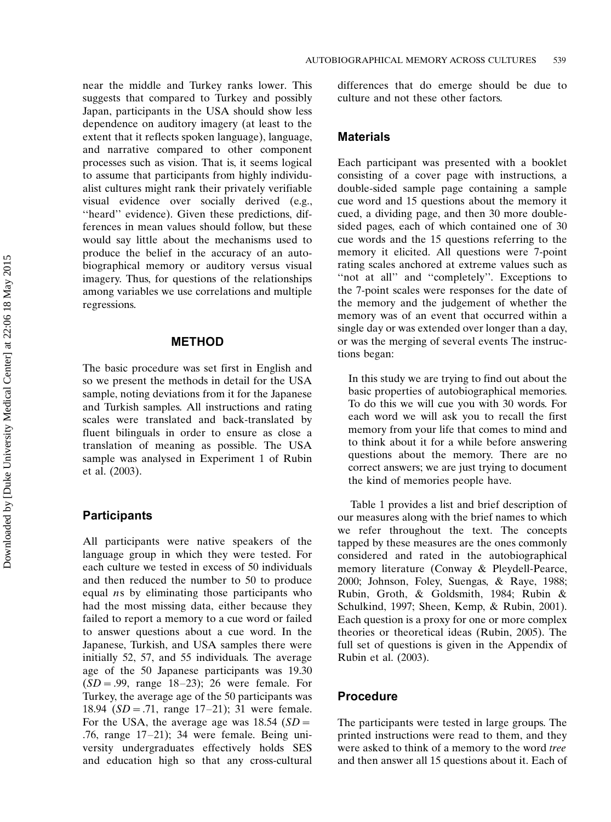near the middle and Turkey ranks lower. This suggests that compared to Turkey and possibly Japan, participants in the USA should show less dependence on auditory imagery (at least to the extent that it reflects spoken language), language, and narrative compared to other component processes such as vision. That is, it seems logical to assume that participants from highly individualist cultures might rank their privately verifiable visual evidence over socially derived (e.g., "heard" evidence). Given these predictions, differences in mean values should follow, but these would say little about the mechanisms used to produce the belief in the accuracy of an autobiographical memory or auditory versus visual imagery. Thus, for questions of the relationships among variables we use correlations and multiple regressions.

#### METHOD

The basic procedure was set first in English and so we present the methods in detail for the USA sample, noting deviations from it for the Japanese and Turkish samples. All instructions and rating scales were translated and back-translated by fluent bilinguals in order to ensure as close a translation of meaning as possible. The USA sample was analysed in Experiment 1 of Rubin et al. (2003).

#### **Participants**

All participants were native speakers of the language group in which they were tested. For each culture we tested in excess of 50 individuals and then reduced the number to 50 to produce equal ns by eliminating those participants who had the most missing data, either because they failed to report a memory to a cue word or failed to answer questions about a cue word. In the Japanese, Turkish, and USA samples there were initially 52, 57, and 55 individuals. The average age of the 50 Japanese participants was 19.30  $(SD = .99$ , range 18–23); 26 were female. For Turkey, the average age of the 50 participants was 18.94 ( $SD = .71$ , range 17-21); 31 were female. For the USA, the average age was  $18.54$  (SD = .76, range  $17-21$ ); 34 were female. Being university undergraduates effectively holds SES and education high so that any cross-cultural

differences that do emerge should be due to culture and not these other factors.

#### **Materials**

Each participant was presented with a booklet consisting of a cover page with instructions, a double-sided sample page containing a sample cue word and 15 questions about the memory it cued, a dividing page, and then 30 more doublesided pages, each of which contained one of 30 cue words and the 15 questions referring to the memory it elicited. All questions were 7-point rating scales anchored at extreme values such as "not at all" and "completely". Exceptions to the 7-point scales were responses for the date of the memory and the judgement of whether the memory was of an event that occurred within a single day or was extended over longer than a day, or was the merging of several events The instructions began:

In this study we are trying to find out about the basic properties of autobiographical memories. To do this we will cue you with 30 words. For each word we will ask you to recall the first memory from your life that comes to mind and to think about it for a while before answering questions about the memory. There are no correct answers; we are just trying to document the kind of memories people have.

Table 1 provides a list and brief description of our measures along with the brief names to which we refer throughout the text. The concepts tapped by these measures are the ones commonly considered and rated in the autobiographical memory literature (Conway & Pleydell-Pearce, 2000; Johnson, Foley, Suengas, & Raye, 1988; Rubin, Groth, & Goldsmith, 1984; Rubin & Schulkind, 1997; Sheen, Kemp, & Rubin, 2001). Each question is a proxy for one or more complex theories or theoretical ideas (Rubin, 2005). The full set of questions is given in the Appendix of Rubin et al. (2003).

#### Procedure

The participants were tested in large groups. The printed instructions were read to them, and they were asked to think of a memory to the word *tree* and then answer all 15 questions about it. Each of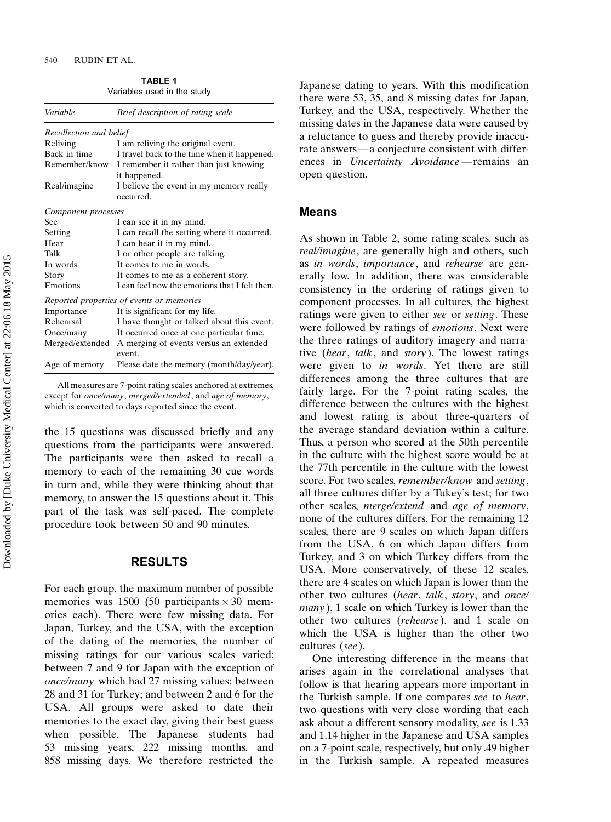TABLE 1 Variables used in the study

| Variable                | Brief description of rating scale                    |
|-------------------------|------------------------------------------------------|
| Recollection and belief |                                                      |
| Reliving                | I am reliving the original event.                    |
| Back in time            | I travel back to the time when it happened.          |
|                         | Remember/know I remember it rather than just knowing |
|                         | it happened.                                         |
| Real/imagine            | I believe the event in my memory really              |
|                         | occurred.                                            |
| Component processes     |                                                      |
| See                     | I can see it in my mind.                             |
| Setting                 | I can recall the setting where it occurred.          |
| Hear                    | I can hear it in my mind.                            |
| Talk                    | I or other people are talking.                       |
| In words                | It comes to me in words.                             |
| Story                   | It comes to me as a coherent story.                  |
| Emotions                | I can feel now the emotions that I felt then.        |
|                         | Reported properties of events or memories            |
| Importance              | It is significant for my life.                       |
| Rehearsal               | I have thought or talked about this event.           |
| Once/many               | It occurred once at one particular time.             |
| Merged/extended         | A merging of events versus an extended<br>event.     |
| Age of memory           | Please date the memory (month/day/year).             |

All measures are 7-point rating scales anchored at extremes, except for once/many, merged/extended, and age of memory, which is converted to days reported since the event.

the 15 questions was discussed briefly and any questions from the participants were answered. The participants were then asked to recall a memory to each of the remaining 30 cue words in turn and, while they were thinking about that memory, to answer the 15 questions about it. This part of the task was self-paced. The complete procedure took between 50 and 90 minutes.

### RESULTS

For each group, the maximum number of possible memories was 1500 (50 participants  $\times$  30 memories each). There were few missing data. For Japan, Turkey, and the USA, with the exception of the dating of the memories, the number of missing ratings for our various scales varied: between 7 and 9 for Japan with the exception of once/many which had 27 missing values; between 28 and 31 for Turkey; and between 2 and 6 for the USA. All groups were asked to date their memories to the exact day, giving their best guess when possible. The Japanese students had 53 missing years, 222 missing months, and 858 missing days. We therefore restricted the Japanese dating to years. With this modification there were 53, 35, and 8 missing dates for Japan, Turkey, and the USA, respectively. Whether the missing dates in the Japanese data were caused by a reluctance to guess and thereby provide inaccurate answers—a conjecture consistent with differences in Uncertainty Avoidance -remains an open question.

#### Means

As shown in Table 2, some rating scales, such as real/imagine, are generally high and others, such as in words, importance, and rehearse are generally low. In addition, there was considerable consistency in the ordering of ratings given to component processes. In all cultures, the highest ratings were given to either see or setting. These were followed by ratings of emotions. Next were the three ratings of auditory imagery and narrative (hear, talk, and story). The lowest ratings were given to in words. Yet there are still differences among the three cultures that are fairly large. For the 7-point rating scales, the difference between the cultures with the highest and lowest rating is about three-quarters of the average standard deviation within a culture. Thus, a person who scored at the 50th percentile in the culture with the highest score would be at the 77th percentile in the culture with the lowest score. For two scales, remember/know and setting, all three cultures differ by a Tukey's test; for two other scales, merge/extend and age of memory, none of the cultures differs. For the remaining 12 scales, there are 9 scales on which Japan differs from the USA, 6 on which Japan differs from Turkey, and 3 on which Turkey differs from the USA. More conservatively, of these 12 scales, there are 4 scales on which Japan is lower than the other two cultures (hear, talk, story, and once/ many), 1 scale on which Turkey is lower than the other two cultures (rehearse), and 1 scale on which the USA is higher than the other two cultures (see).

One interesting difference in the means that arises again in the correlational analyses that follow is that hearing appears more important in the Turkish sample. If one compares see to hear, two questions with very close wording that each ask about a different sensory modality, see is 1.33 and 1.14 higher in the Japanese and USA samples on a 7-point scale, respectively, but only .49 higher in the Turkish sample. A repeated measures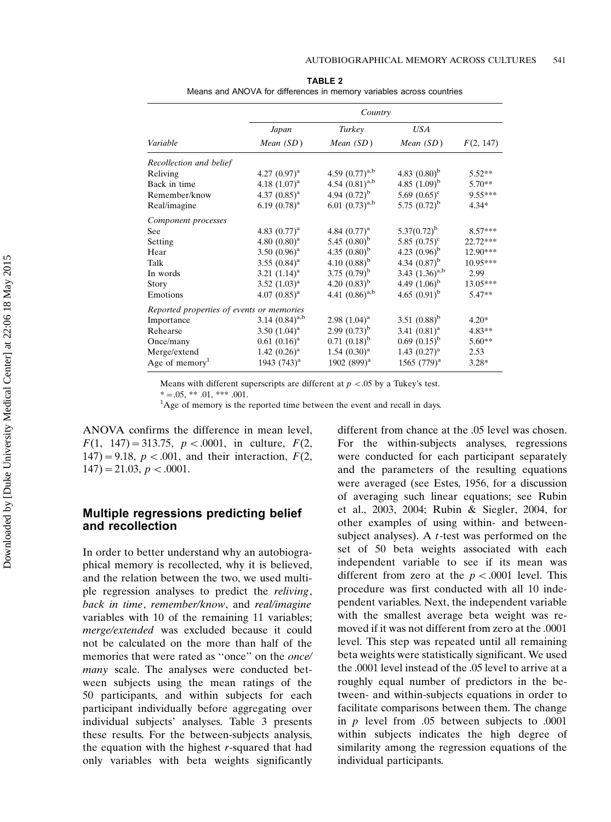| <b>ABLE</b> | £ |
|-------------|---|
|-------------|---|

|                                           | Country                    |                     |                            |           |  |  |  |  |  |  |  |
|-------------------------------------------|----------------------------|---------------------|----------------------------|-----------|--|--|--|--|--|--|--|
|                                           | Japan                      | Turkey              | <b>USA</b>                 |           |  |  |  |  |  |  |  |
| Variable                                  | Mean $(SD)$                | Mean $(SD)$         | Mean $(SD)$                | F(2, 147) |  |  |  |  |  |  |  |
| Recollection and belief                   |                            |                     |                            |           |  |  |  |  |  |  |  |
| Reliving                                  | 4.27 $(0.97)^{a}$          | 4.59 $(0.77)^{a,b}$ | 4.83 $(0.80)^b$            | $5.52**$  |  |  |  |  |  |  |  |
| Back in time                              | 4.18 $(1.07)^a$            | 4.54 $(0.81)^{a,b}$ | 4.85 $(1.09)^{b}$          | $5.70**$  |  |  |  |  |  |  |  |
| Remember/know                             | 4.37 $(0.85)^a$            | 4.94 $(0.72)^{b}$   | 5.69 $(0.65)^c$            | $9.55***$ |  |  |  |  |  |  |  |
| Real/imagine                              | 6.19 $(0.78)^a$            | 6.01 $(0.73)^{a,b}$ | 5.75 $(0.72)^{b}$          | $4.34*$   |  |  |  |  |  |  |  |
| Component processes                       |                            |                     |                            |           |  |  |  |  |  |  |  |
| See                                       | 4.83 $(0.77)^a$            | 4.84 $(0.77)^a$     | $5.37(0.72)^{b}$           | $8.57***$ |  |  |  |  |  |  |  |
| Setting                                   | 4.80 $(0.80)^a$            | 5.45 $(0.80)^b$     | 5.85 $(0.75)^{\circ}$      | 22.72***  |  |  |  |  |  |  |  |
| Hear                                      | 3.50 $(0.96)^a$            | 4.35 $(0.80)^{b}$   | 4.23 $(0.96)^{b}$          | 12.90***  |  |  |  |  |  |  |  |
| Talk                                      | 3.55 $(0.84)$ <sup>a</sup> | 4.10 $(0.88)^b$     | 4.34 $(0.87)$ <sup>b</sup> | 10.95***  |  |  |  |  |  |  |  |
| In words                                  | 3.21 $(1.14)^a$            | 3.75 $(0.79)^{b}$   | 3.43 $(1.36)^{a,b}$        | 2.99      |  |  |  |  |  |  |  |
| Story                                     | 3.52 $(1.03)^a$            | 4.20 $(0.83)^{b}$   | 4.49 $(1.06)^b$            | 13.05***  |  |  |  |  |  |  |  |
| Emotions                                  | 4.07 $(0.85)^a$            | 4.41 $(0.86)^{a,b}$ | 4.65 $(0.91)^{b}$          | 5.47**    |  |  |  |  |  |  |  |
| Reported properties of events or memories |                            |                     |                            |           |  |  |  |  |  |  |  |
| Importance                                | 3.14 $(0.84)^{a,b}$        | $2.98$ $(1.04)^a$   | 3.51 $(0.88)^b$            | $4.20*$   |  |  |  |  |  |  |  |
| Rehearse                                  | 3.50 $(1.04)^a$            | $2.99(0.73)^{b}$    | 3.41 $(0.81)$ <sup>a</sup> | $4.83**$  |  |  |  |  |  |  |  |
| Once/many                                 | $0.61~(0.16)^a$            | $0.71~(0.18)^{b}$   | $0.69~(0.15)^{b}$          | 5.60**    |  |  |  |  |  |  |  |
| Merge/extend                              | 1.42 $(0.26)^a$            | $1.54~(0.30)^a$     | 1.43 $(0.27)^a$            | 2.53      |  |  |  |  |  |  |  |
| Age of memory <sup>1</sup>                | 1943 $(743)^a$             | 1902 $(899)^a$      | 1565 $(779)^{a}$           | $3.28*$   |  |  |  |  |  |  |  |

Means and ANOVA for differences in memory variables across countries

Means with different superscripts are different at  $p < 0.05$  by a Tukey's test.  $* = .05, ** .01, ** * .001.$ 

<sup>1</sup>Age of memory is the reported time between the event and recall in days.

ANOVA confirms the difference in mean level,  $F(1, 147) = 313.75, p < .0001$ , in culture,  $F(2, 147) = 313.75, p < .0001$  $147$ ) = 9.18, p < .001, and their interaction, F(2,  $147$ ) = 21.03, p < .0001.

#### Multiple regressions predicting belief and recollection

In order to better understand why an autobiographical memory is recollected, why it is believed, and the relation between the two, we used multiple regression analyses to predict the reliving, back in time, remember/know, and real/imagine variables with 10 of the remaining 11 variables; merge/extended was excluded because it could not be calculated on the more than half of the memories that were rated as "once" on the *once* many scale. The analyses were conducted between subjects using the mean ratings of the 50 participants, and within subjects for each participant individually before aggregating over individual subjects' analyses. Table 3 presents these results. For the between-subjects analysis, the equation with the highest  $r$ -squared that had only variables with beta weights significantly

different from chance at the .05 level was chosen. For the within-subjects analyses, regressions were conducted for each participant separately and the parameters of the resulting equations were averaged (see Estes, 1956, for a discussion of averaging such linear equations; see Rubin et al., 2003, 2004; Rubin & Siegler, 2004, for other examples of using within- and betweensubject analyses). A  $t$ -test was performed on the set of 50 beta weights associated with each independent variable to see if its mean was different from zero at the  $p < .0001$  level. This procedure was first conducted with all 10 independent variables. Next, the independent variable with the smallest average beta weight was removed if it was not different from zero at the .0001 level. This step was repeated until all remaining beta weights were statistically significant. We used the .0001 level instead of the .05 level to arrive at a roughly equal number of predictors in the between- and within-subjects equations in order to facilitate comparisons between them. The change in  $p$  level from .05 between subjects to .0001 within subjects indicates the high degree of similarity among the regression equations of the individual participants.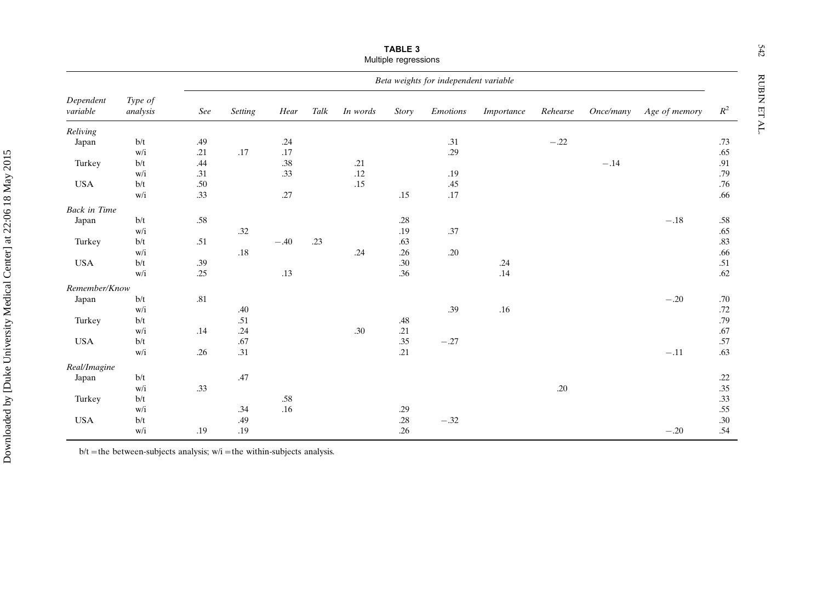|                       |                     |         | Beta weights for independent variable |         |      |          |              |                 |            |          |           |               |         |  |  |  |
|-----------------------|---------------------|---------|---------------------------------------|---------|------|----------|--------------|-----------------|------------|----------|-----------|---------------|---------|--|--|--|
| Dependent<br>variable | Type of<br>analysis | See     | Setting                               | Hear    | Talk | In words | <b>Story</b> | <b>Emotions</b> | Importance | Rehearse | Once/many | Age of memory | $R^2$   |  |  |  |
| Reliving              |                     |         |                                       |         |      |          |              |                 |            |          |           |               |         |  |  |  |
| Japan                 | b/t                 | .49     |                                       | .24     |      |          |              | .31             |            | $-.22$   |           |               | .73     |  |  |  |
|                       | w/i                 | .21     | .17                                   | $.17\,$ |      |          |              | .29             |            |          |           |               | .65     |  |  |  |
| Turkey                | b/t                 | .44     |                                       | .38     |      | .21      |              |                 |            |          | $-.14$    |               | .91     |  |  |  |
|                       | w/i                 | .31     |                                       | .33     |      | .12      |              | .19             |            |          |           |               | .79     |  |  |  |
| <b>USA</b>            | b/t                 | $.50\,$ |                                       |         |      | .15      |              | .45             |            |          |           |               | .76     |  |  |  |
|                       | w/i                 | .33     |                                       | .27     |      |          | .15          | .17             |            |          |           |               | .66     |  |  |  |
| <b>Back in Time</b>   |                     |         |                                       |         |      |          |              |                 |            |          |           |               |         |  |  |  |
| Japan                 | b/t                 | .58     |                                       |         |      |          | .28          |                 |            |          |           | $-.18$        | .58     |  |  |  |
|                       | w/i                 |         | .32                                   |         |      |          | .19          | .37             |            |          |           |               | .65     |  |  |  |
| Turkey                | b/t                 | .51     |                                       | $-.40$  | .23  |          | .63          |                 |            |          |           |               | .83     |  |  |  |
|                       | w/i                 |         | $.18\,$                               |         |      | .24      | .26          | .20             |            |          |           |               | $.66$   |  |  |  |
| <b>USA</b>            | b/t                 | .39     |                                       |         |      |          | .30          |                 | .24        |          |           |               | .51     |  |  |  |
|                       | w/i                 | .25     |                                       | .13     |      |          | .36          |                 | .14        |          |           |               | .62     |  |  |  |
| Remember/Know         |                     |         |                                       |         |      |          |              |                 |            |          |           |               |         |  |  |  |
| Japan                 | b/t                 | $.81\,$ |                                       |         |      |          |              |                 |            |          |           | $-.20$        | $.70\,$ |  |  |  |
|                       | w/i                 |         | .40                                   |         |      |          |              | .39             | .16        |          |           |               | $.72\,$ |  |  |  |
| Turkey                | b/t                 |         | .51                                   |         |      |          | $.48\,$      |                 |            |          |           |               | .79     |  |  |  |
|                       | w/i                 | .14     | .24                                   |         |      | .30      | .21          |                 |            |          |           |               | .67     |  |  |  |
| <b>USA</b>            | b/t                 |         | .67                                   |         |      |          | .35          | $-.27$          |            |          |           |               | .57     |  |  |  |
|                       | w/i                 | .26     | .31                                   |         |      |          | .21          |                 |            |          |           | $-.11$        | .63     |  |  |  |
| Real/Imagine          |                     |         |                                       |         |      |          |              |                 |            |          |           |               |         |  |  |  |
| Japan                 | b/t                 |         | .47                                   |         |      |          |              |                 |            |          |           |               | .22     |  |  |  |
|                       | w/i                 | .33     |                                       |         |      |          |              |                 |            | .20      |           |               | .35     |  |  |  |
| Turkey                | b/t                 |         |                                       | $.58\,$ |      |          |              |                 |            |          |           |               | .33     |  |  |  |
|                       | w/i                 |         | .34                                   | $.16$   |      |          | .29          |                 |            |          |           |               | .55     |  |  |  |
| <b>USA</b>            | b/t                 |         | .49                                   |         |      |          | .28          | $-.32$          |            |          |           |               | .30     |  |  |  |
|                       | w/i                 | .19     | .19                                   |         |      |          | .26          |                 |            |          |           | $-.20$        | .54     |  |  |  |

TABLE 3 Multiple regressions

 $b/t$  = the between-subjects analysis; w/i = the within-subjects analysis.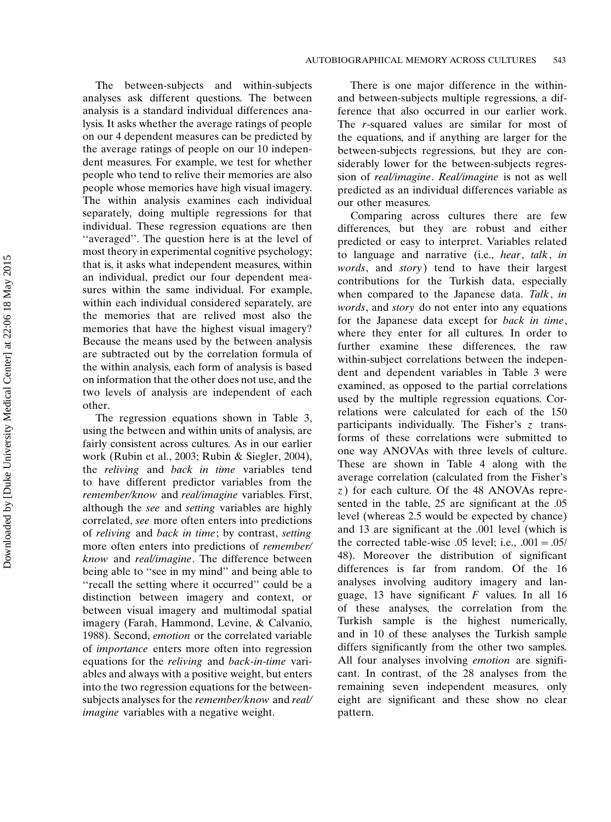The between-subjects and within-subjects analyses ask different questions. The between analysis is a standard individual differences analysis. It asks whether the average ratings of people on our 4 dependent measures can be predicted by the average ratings of people on our 10 independent measures. For example, we test for whether people who tend to relive their memories are also people whose memories have high visual imagery. The within analysis examines each individual separately, doing multiple regressions for that individual. These regression equations are then "averaged". The question here is at the level of most theory in experimental cognitive psychology; that is, it asks what independent measures, within an individual, predict our four dependent measures within the same individual. For example, within each individual considered separately, are the memories that are relived most also the memories that have the highest visual imagery? Because the means used by the between analysis are subtracted out by the correlation formula of the within analysis, each form of analysis is based on information that the other does not use, and the two levels of analysis are independent of each other.

The regression equations shown in Table 3, using the between and within units of analysis, are fairly consistent across cultures. As in our earlier work (Rubin et al., 2003; Rubin & Siegler, 2004), the reliving and back in time variables tend to have different predictor variables from the remember/know and real/imagine variables. First, although the see and setting variables are highly correlated, see more often enters into predictions of reliving and back in time; by contrast, setting more often enters into predictions of remember/ know and real/imagine. The difference between being able to ''see in my mind'' and being able to ''recall the setting where it occurred'' could be a distinction between imagery and context, or between visual imagery and multimodal spatial imagery (Farah, Hammond, Levine, & Calvanio, 1988). Second, *emotion* or the correlated variable of importance enters more often into regression equations for the *reliving* and *back-in-time* variables and always with a positive weight, but enters into the two regression equations for the betweensubjects analyses for the remember/know and real/ imagine variables with a negative weight.

There is one major difference in the withinand between-subjects multiple regressions, a difference that also occurred in our earlier work. The r-squared values are similar for most of the equations, and if anything are larger for the between-subjects regressions, but they are considerably lower for the between-subjects regression of real/imagine. Real/imagine is not as well predicted as an individual differences variable as our other measures.

Comparing across cultures there are few differences, but they are robust and either predicted or easy to interpret. Variables related to language and narrative (i.e., hear, talk, in words, and story) tend to have their largest contributions for the Turkish data, especially when compared to the Japanese data. Talk, in words, and story do not enter into any equations for the Japanese data except for back in time, where they enter for all cultures. In order to further examine these differences, the raw within-subject correlations between the independent and dependent variables in Table 3 were examined, as opposed to the partial correlations used by the multiple regression equations. Correlations were calculated for each of the 150 participants individually. The Fisher's  $\zeta$  transforms of these correlations were submitted to one way ANOVAs with three levels of culture. These are shown in Table 4 along with the average correlation (calculated from the Fisher's z) for each culture. Of the 48 ANOVAs represented in the table, 25 are significant at the .05 level (whereas 2.5 would be expected by chance) and 13 are significant at the .001 level (which is the corrected table-wise  $.05$  level; i.e.,  $.001 = .05/$ 48). Moreover the distribution of significant differences is far from random. Of the 16 analyses involving auditory imagery and language, 13 have significant  $F$  values. In all 16 of these analyses, the correlation from the Turkish sample is the highest numerically, and in 10 of these analyses the Turkish sample differs significantly from the other two samples. All four analyses involving *emotion* are significant. In contrast, of the 28 analyses from the remaining seven independent measures, only eight are significant and these show no clear pattern.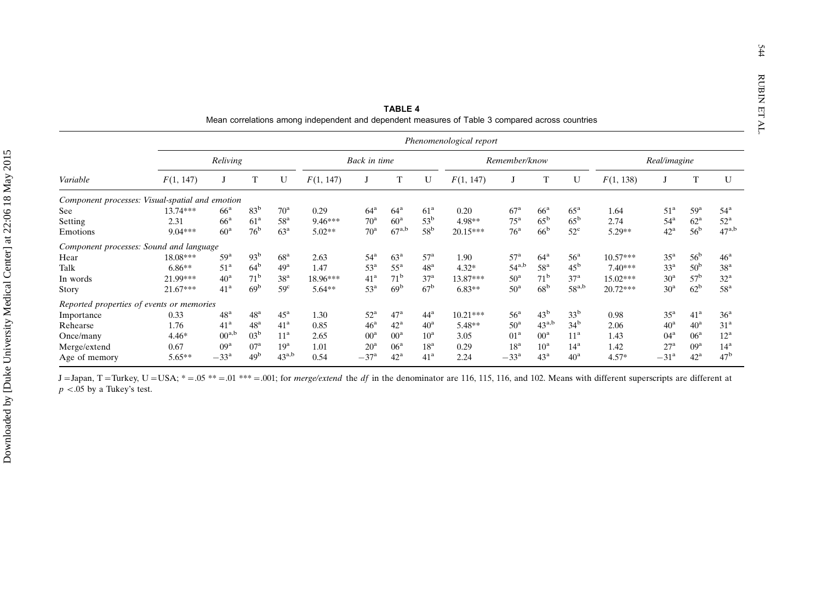|                 |                 |                 | lean correlations among independent and dependent measures of Table 3 c |                 |                   |                 |                         |  |
|-----------------|-----------------|-----------------|-------------------------------------------------------------------------|-----------------|-------------------|-----------------|-------------------------|--|
|                 |                 |                 |                                                                         |                 |                   |                 | Phenomenological report |  |
| Reliving        |                 |                 | Back in time                                                            | Ren             |                   |                 |                         |  |
| J               | T               | U               | F(1, 147)                                                               | J               | T                 | U               | F(1, 147)               |  |
| emotion         |                 |                 |                                                                         |                 |                   |                 |                         |  |
| 66 <sup>a</sup> | 83 <sup>b</sup> | 70 <sup>a</sup> | 0.29                                                                    | 64 <sup>a</sup> | $64^{\mathrm{a}}$ | 61 <sup>a</sup> | 0.20                    |  |
| 66 <sup>a</sup> | 61 <sup>a</sup> | 58 <sup>a</sup> | $9.46***$                                                               | 70 <sup>a</sup> | 60 <sup>a</sup>   | 53 <sup>b</sup> | 4.98**                  |  |
| 60 <sup>a</sup> | $76^{\rm b}$    | 63 <sup>a</sup> | $5.02**$                                                                | $70^{\rm a}$    | $67^{\rm a,b}$    | $58^{\rm b}$    | 20.15***                |  |
| ζe              |                 |                 |                                                                         |                 |                   |                 |                         |  |
| 59 <sup>a</sup> | 93 <sup>b</sup> | 68 <sup>a</sup> | 2.63                                                                    | $54^{\rm a}$    | $63^{\rm a}$      | 57 <sup>a</sup> | 1.90                    |  |
| 51 <sup>a</sup> | 64 <sup>b</sup> | 49 <sup>a</sup> | 1.47                                                                    | 53 <sup>a</sup> | $55^{\rm a}$      | 48 <sup>a</sup> | $4.32*$                 |  |
| 40 <sup>a</sup> | 71 <sup>b</sup> | 38 <sup>a</sup> | 18.96***                                                                | 41 <sup>a</sup> | $71^{\rm b}$      | 37 <sup>a</sup> | 13.87***                |  |
| 41 <sup>a</sup> | 69 <sup>b</sup> | 59 <sup>c</sup> | $5.64**$                                                                | 53 <sup>a</sup> | 69 <sup>b</sup>   | 67 <sup>b</sup> | $6.83**$                |  |
| S               |                 |                 |                                                                         |                 |                   |                 |                         |  |

TABLE 4Mean correlations among independent and dependent measures of Table 3 compared across countries

| Variable                                        |            | Reliving        |                 |                 | Back in time |                    |                 | Remember/know   |            |                 |                   | Real/imagine    |            |                 |                 |                 |
|-------------------------------------------------|------------|-----------------|-----------------|-----------------|--------------|--------------------|-----------------|-----------------|------------|-----------------|-------------------|-----------------|------------|-----------------|-----------------|-----------------|
|                                                 | F(1, 147)  |                 | T               | U               | F(1, 147)    |                    | T               | U               | F(1, 147)  |                 | T                 | U               | F(1, 138)  |                 | T               | U               |
| Component processes: Visual-spatial and emotion |            |                 |                 |                 |              |                    |                 |                 |            |                 |                   |                 |            |                 |                 |                 |
| See                                             | 13.74***   | 66 <sup>a</sup> | 83 <sup>b</sup> | 70 <sup>a</sup> | 0.29         | $64^{\rm a}$       | $64^{\rm a}$    | 61 <sup>a</sup> | 0.20       | 67 <sup>a</sup> | 66 <sup>a</sup>   | $65^{\rm a}$    | 1.64       | 51 <sup>a</sup> | 59 <sup>a</sup> | $54^{\rm a}$    |
| Setting                                         | 2.31       | 66 <sup>a</sup> | 61 <sup>a</sup> | 58 <sup>a</sup> | $9.46***$    | 70 <sup>a</sup>    | 60 <sup>a</sup> | 53 <sup>b</sup> | 4.98**     | 75 <sup>a</sup> | $65^{\rm b}$      | $65^{\rm b}$    | 2.74       | $54^\circ$      | 62 <sup>a</sup> | 52 <sup>a</sup> |
| Emotions                                        | $9.04***$  | 60 <sup>a</sup> | 76 <sup>b</sup> | 63 <sup>a</sup> | 5.02**       | 70 <sup>a</sup>    | $67^{a,b}$      | 58 <sup>b</sup> | 20.15***   | 76 <sup>a</sup> | 66 <sup>b</sup>   | $52^{\circ}$    | 5.29**     | $42^{\rm a}$    | $56^{\rm b}$    | $47^{a,b}$      |
| Component processes: Sound and language         |            |                 |                 |                 |              |                    |                 |                 |            |                 |                   |                 |            |                 |                 |                 |
| Hear                                            | 18.08***   | 59 <sup>a</sup> | 93 <sup>b</sup> | 68 <sup>a</sup> | 2.63         | $54^{\rm a}$       | 63 <sup>a</sup> | 57 <sup>a</sup> | 1.90       | 57 <sup>a</sup> | $64^{\mathrm{a}}$ | 56 <sup>a</sup> | $10.57***$ | $35^{\rm a}$    | $56^{\rm b}$    | 46 <sup>a</sup> |
| Talk                                            | $6.86**$   | 51 <sup>a</sup> | 64 <sup>b</sup> | 49 <sup>a</sup> | 1.47         | 53 <sup>a</sup>    | $55^{\rm a}$    | 48 <sup>a</sup> | $4.32*$    | $54^{\rm a,b}$  | 58 <sup>a</sup>   | $45^{\rm b}$    | $7.40***$  | 33 <sup>a</sup> | 50 <sup>b</sup> | 38 <sup>a</sup> |
| In words                                        | 21.99***   | 40 <sup>a</sup> | 71 <sup>b</sup> | 38 <sup>a</sup> | 18.96***     | 41 <sup>a</sup>    | $71^{\rm b}$    | 37 <sup>a</sup> | 13.87***   | 50 <sup>a</sup> | 71 <sup>b</sup>   | 37 <sup>a</sup> | 15.02***   | 30 <sup>a</sup> | 57 <sup>b</sup> | 32 <sup>a</sup> |
| <b>Story</b>                                    | $21.67***$ | 41 <sup>a</sup> | 69 <sup>b</sup> | 59 <sup>c</sup> | $5.64**$     | 53 <sup>a</sup>    | 69 <sup>b</sup> | 67 <sup>b</sup> | $6.83**$   | 50 <sup>a</sup> | 68 <sup>b</sup>   | $58^{\rm a,b}$  | $20.72***$ | 30 <sup>a</sup> | 62 <sup>b</sup> | 58 <sup>a</sup> |
| Reported properties of events or memories       |            |                 |                 |                 |              |                    |                 |                 |            |                 |                   |                 |            |                 |                 |                 |
| Importance                                      | 0.33       | 48 <sup>a</sup> | 48 <sup>a</sup> | 45 <sup>a</sup> | 1.30         | $52^{\rm a}$       | 47 <sup>a</sup> | 44 <sup>a</sup> | $10.21***$ | 56 <sup>a</sup> | 43 <sup>b</sup>   | 33 <sup>b</sup> | 0.98       | 35 <sup>a</sup> | 41 <sup>a</sup> | 36 <sup>a</sup> |
| Rehearse                                        | 1.76       | 41 <sup>a</sup> | 48 <sup>a</sup> | 41 <sup>a</sup> | 0.85         | 46 <sup>a</sup>    | $42^{\rm a}$    | 40 <sup>a</sup> | 5.48**     | 50 <sup>a</sup> | $43^{\rm a,b}$    | 34 <sup>b</sup> | 2.06       | 40 <sup>a</sup> | 40 <sup>a</sup> | 31 <sup>a</sup> |
| Once/many                                       | $4.46*$    | $00^{a,b}$      | 03 <sup>b</sup> | 11 <sup>a</sup> | 2.65         | 00 <sup>a</sup>    | 00 <sup>a</sup> | 10 <sup>a</sup> | 3.05       | 01 <sup>a</sup> | 00 <sup>a</sup>   | 11 <sup>a</sup> | 1.43       | 04 <sup>a</sup> | 06 <sup>a</sup> | $12^{\rm a}$    |
| Merge/extend                                    | 0.67       | 09 <sup>a</sup> | 07 <sup>a</sup> | 19 <sup>a</sup> | 1.01         | 20 <sup>a</sup>    | 06 <sup>8</sup> | 18 <sup>a</sup> | 0.29       | 18 <sup>a</sup> | 10 <sup>a</sup>   | 14 <sup>a</sup> | 1.42       | 27 <sup>a</sup> | 09 <sup>a</sup> | 14 <sup>a</sup> |
| Age of memory                                   | 5.65**     | $-33a$          | 49 <sup>b</sup> | $43^{a,b}$      | 0.54         | $-37$ <sup>a</sup> | $42^{\rm a}$    | 41 <sup>a</sup> | 2.24       | $-33a$          | 43 <sup>a</sup>   | 40 <sup>a</sup> | $4.57*$    | $-31a$          | $42^{\rm a}$    | 47 <sup>b</sup> |

 $J =$ Japan, T = Turkey, U = USA;  $* = .05 ** = .01 ** = .001$ ; for *merge/extend* the *df* in the denominator are 116, 115, 116, and 102. Means with different superscripts are different at  $p < 0.05$  by a Tukey's test.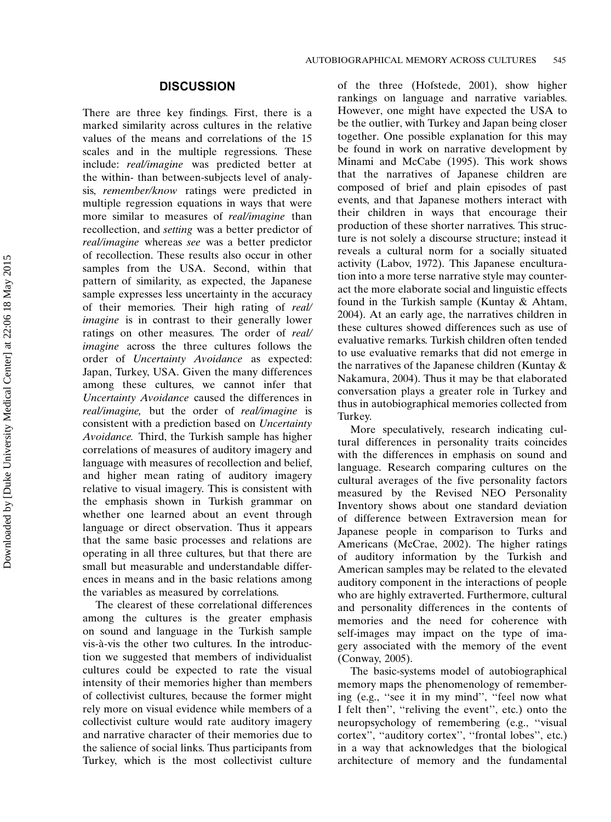#### **DISCUSSION**

There are three key findings. First, there is a marked similarity across cultures in the relative values of the means and correlations of the 15 scales and in the multiple regressions. These include: real/imagine was predicted better at the within- than between-subjects level of analysis, remember/know ratings were predicted in multiple regression equations in ways that were more similar to measures of real/imagine than recollection, and setting was a better predictor of real/imagine whereas see was a better predictor of recollection. These results also occur in other samples from the USA. Second, within that pattern of similarity, as expected, the Japanese sample expresses less uncertainty in the accuracy of their memories. Their high rating of real/ imagine is in contrast to their generally lower ratings on other measures. The order of real/ imagine across the three cultures follows the order of Uncertainty Avoidance as expected: Japan, Turkey, USA. Given the many differences among these cultures, we cannot infer that Uncertainty Avoidance caused the differences in real/imagine, but the order of real/imagine is consistent with a prediction based on Uncertainty Avoidance. Third, the Turkish sample has higher correlations of measures of auditory imagery and language with measures of recollection and belief, and higher mean rating of auditory imagery relative to visual imagery. This is consistent with the emphasis shown in Turkish grammar on whether one learned about an event through language or direct observation. Thus it appears that the same basic processes and relations are operating in all three cultures, but that there are small but measurable and understandable differences in means and in the basic relations among the variables as measured by correlations.

The clearest of these correlational differences among the cultures is the greater emphasis on sound and language in the Turkish sample vis-a`-vis the other two cultures. In the introduction we suggested that members of individualist cultures could be expected to rate the visual intensity of their memories higher than members of collectivist cultures, because the former might rely more on visual evidence while members of a collectivist culture would rate auditory imagery and narrative character of their memories due to the salience of social links. Thus participants from Turkey, which is the most collectivist culture of the three (Hofstede, 2001), show higher rankings on language and narrative variables. However, one might have expected the USA to be the outlier, with Turkey and Japan being closer together. One possible explanation for this may be found in work on narrative development by Minami and McCabe (1995). This work shows that the narratives of Japanese children are composed of brief and plain episodes of past events, and that Japanese mothers interact with their children in ways that encourage their production of these shorter narratives. This structure is not solely a discourse structure; instead it reveals a cultural norm for a socially situated activity (Labov, 1972). This Japanese enculturation into a more terse narrative style may counteract the more elaborate social and linguistic effects found in the Turkish sample (Kuntay & Ahtam, 2004). At an early age, the narratives children in these cultures showed differences such as use of evaluative remarks. Turkish children often tended to use evaluative remarks that did not emerge in the narratives of the Japanese children (Kuntay & Nakamura, 2004). Thus it may be that elaborated conversation plays a greater role in Turkey and thus in autobiographical memories collected from Turkey.

More speculatively, research indicating cultural differences in personality traits coincides with the differences in emphasis on sound and language. Research comparing cultures on the cultural averages of the five personality factors measured by the Revised NEO Personality Inventory shows about one standard deviation of difference between Extraversion mean for Japanese people in comparison to Turks and Americans (McCrae, 2002). The higher ratings of auditory information by the Turkish and American samples may be related to the elevated auditory component in the interactions of people who are highly extraverted. Furthermore, cultural and personality differences in the contents of memories and the need for coherence with self-images may impact on the type of imagery associated with the memory of the event (Conway, 2005).

The basic-systems model of autobiographical memory maps the phenomenology of remembering (e.g., ''see it in my mind'', ''feel now what I felt then'', ''reliving the event'', etc.) onto the neuropsychology of remembering (e.g., ''visual cortex'', ''auditory cortex'', ''frontal lobes'', etc.) in a way that acknowledges that the biological architecture of memory and the fundamental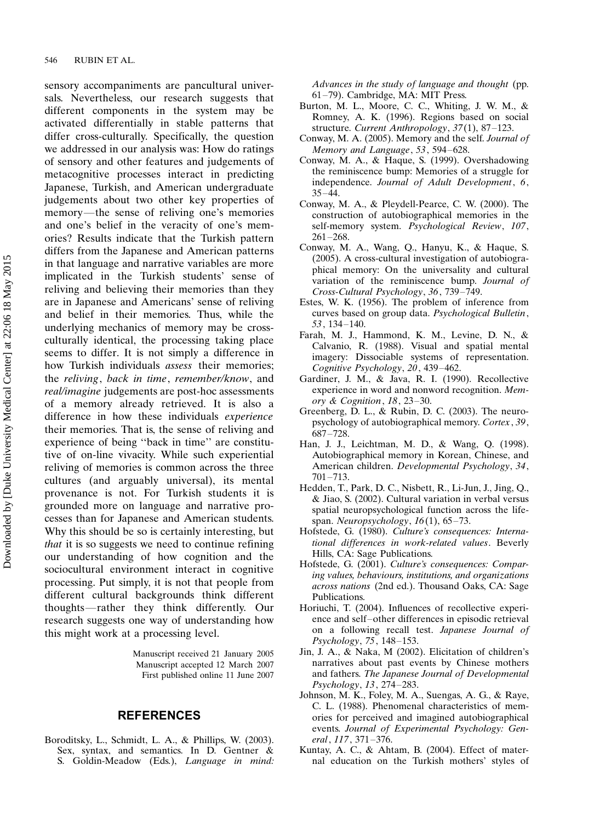sensory accompaniments are pancultural universals. Nevertheless, our research suggests that different components in the system may be activated differentially in stable patterns that differ cross-culturally. Specifically, the question we addressed in our analysis was: How do ratings of sensory and other features and judgements of metacognitive processes interact in predicting Japanese, Turkish, and American undergraduate judgements about two other key properties of memory—the sense of reliving one's memories and one's belief in the veracity of one's memories? Results indicate that the Turkish pattern differs from the Japanese and American patterns in that language and narrative variables are more implicated in the Turkish students' sense of reliving and believing their memories than they are in Japanese and Americans' sense of reliving and belief in their memories. Thus, while the underlying mechanics of memory may be crossculturally identical, the processing taking place seems to differ. It is not simply a difference in how Turkish individuals assess their memories; the reliving, back in time, remember/know, and real/imagine judgements are post-hoc assessments of a memory already retrieved. It is also a difference in how these individuals experience their memories. That is, the sense of reliving and experience of being ''back in time'' are constitutive of on-line vivacity. While such experiential reliving of memories is common across the three cultures (and arguably universal), its mental provenance is not. For Turkish students it is grounded more on language and narrative processes than for Japanese and American students. Why this should be so is certainly interesting, but that it is so suggests we need to continue refining our understanding of how cognition and the sociocultural environment interact in cognitive processing. Put simply, it is not that people from different cultural backgrounds think different thoughts—rather they think differently. Our research suggests one way of understanding how this might work at a processing level.

> Manuscript received 21 January 2005 Manuscript accepted 12 March 2007 First published online 11 June 2007

#### REFERENCES

Boroditsky, L., Schmidt, L. A., & Phillips, W. (2003). Sex, syntax, and semantics. In D. Gentner & S. Goldin-Meadow (Eds.), Language in mind: Advances in the study of language and thought (pp. 61-79). Cambridge, MA: MIT Press.

- Burton, M. L., Moore, C. C., Whiting, J. W. M., & Romney, A. K. (1996). Regions based on social structure. Current Anthropology,  $37(1)$ ,  $87-123$ .
- Conway, M. A. (2005). Memory and the self. Journal of Memory and Language, 53, 594-628.
- Conway, M. A., & Haque, S. (1999). Overshadowing the reminiscence bump: Memories of a struggle for independence. Journal of Adult Development, 6,  $35 - 44.$
- Conway, M. A., & Pleydell-Pearce, C. W. (2000). The construction of autobiographical memories in the self-memory system. Psychological Review, 107,  $261 - 268.$
- Conway, M. A., Wang, Q., Hanyu, K., & Haque, S. (2005). A cross-cultural investigation of autobiographical memory: On the universality and cultural variation of the reminiscence bump. Journal of Cross-Cultural Psychology, 36, 739-749.
- Estes, W. K. (1956). The problem of inference from curves based on group data. Psychological Bulletin, 53, 134-140.
- Farah, M. J., Hammond, K. M., Levine, D. N., & Calvanio, R. (1988). Visual and spatial mental imagery: Dissociable systems of representation. Cognitive Psychology, 20, 439-462.
- Gardiner, J. M., & Java, R. I. (1990). Recollective experience in word and nonword recognition. Memory & Cognition,  $18$ ,  $23-30$ .
- Greenberg, D. L., & Rubin, D. C. (2003). The neuropsychology of autobiographical memory. Cortex, 39, 687-728.
- Han, J. J., Leichtman, M. D., & Wang, Q. (1998). Autobiographical memory in Korean, Chinese, and American children. Developmental Psychology, 34,  $701 - 713.$
- Hedden, T., Park, D. C., Nisbett, R., Li-Jun, J., Jing, Q., & Jiao, S. (2002). Cultural variation in verbal versus spatial neuropsychological function across the lifespan. Neuropsychology,  $16(1)$ ,  $65-73$ .
- Hofstede, G. (1980). Culture's consequences: International differences in work-related values. Beverly Hills, CA: Sage Publications.
- Hofstede, G. (2001). Culture's consequences: Comparing values, behaviours, institutions, and organizations across nations (2nd ed.). Thousand Oaks, CA: Sage Publications.
- Horiuchi, T. (2004). Influences of recollective experience and self-other differences in episodic retrieval on a following recall test. Japanese Journal of Psychology, 75, 148-153.
- Jin, J. A., & Naka, M (2002). Elicitation of children's narratives about past events by Chinese mothers and fathers. The Japanese Journal of Developmental Psychology,  $13, 274-283$ .
- Johnson, M. K., Foley, M. A., Suengas, A. G., & Raye, C. L. (1988). Phenomenal characteristics of memories for perceived and imagined autobiographical events. Journal of Experimental Psychology: General, 117, 371-376.
- Kuntay, A. C., & Ahtam, B. (2004). Effect of maternal education on the Turkish mothers' styles of